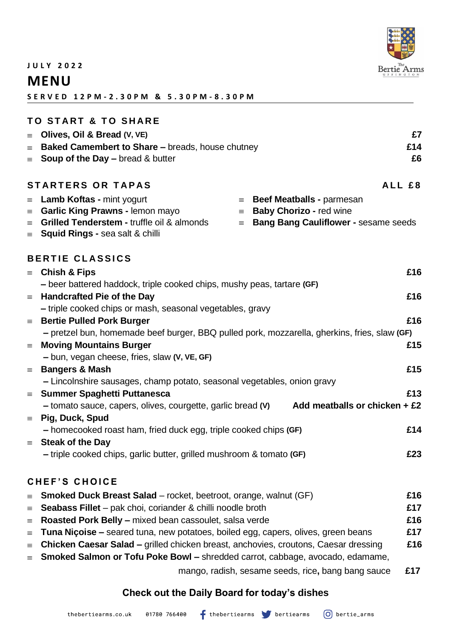

**J U L Y 2 0 2 2** 

## **MENU**

**S E R V E D 1 2 P M - 2 . 3 0 P M & 5 . 3 0 P M - 8 . 3 0 P M**

|          | <b>TO START &amp; TO SHARE</b>                                                                        |     |  |  |  |
|----------|-------------------------------------------------------------------------------------------------------|-----|--|--|--|
| $\equiv$ | Olives, Oil & Bread (V, VE)                                                                           | £7  |  |  |  |
| $\equiv$ | Baked Camembert to Share - breads, house chutney                                                      | £14 |  |  |  |
| $\equiv$ | <b>Soup of the Day – bread &amp; butter</b>                                                           | £6  |  |  |  |
|          |                                                                                                       |     |  |  |  |
|          | <b>STARTERS OR TAPAS</b><br>ALL £8                                                                    |     |  |  |  |
| $\equiv$ | Beef Meatballs - parmesan<br><b>Lamb Koftas - mint yogurt</b><br>$\equiv$                             |     |  |  |  |
| $\equiv$ | Garlic King Prawns - lemon mayo<br><b>Baby Chorizo - red wine</b><br>$\equiv$                         |     |  |  |  |
| $\equiv$ | Grilled Tenderstem - truffle oil & almonds<br><b>Bang Bang Cauliflower - sesame seeds</b><br>$\equiv$ |     |  |  |  |
| $\equiv$ | <b>Squid Rings - sea salt &amp; chilli</b>                                                            |     |  |  |  |
|          | <b>BERTIE CLASSICS</b>                                                                                |     |  |  |  |
|          | <b>Chish &amp; Fips</b>                                                                               | £16 |  |  |  |
| $\equiv$ | - beer battered haddock, triple cooked chips, mushy peas, tartare (GF)                                |     |  |  |  |
| $\equiv$ | <b>Handcrafted Pie of the Day</b>                                                                     | £16 |  |  |  |
|          | - triple cooked chips or mash, seasonal vegetables, gravy                                             |     |  |  |  |
| $\equiv$ | <b>Bertie Pulled Pork Burger</b>                                                                      | £16 |  |  |  |
|          | - pretzel bun, homemade beef burger, BBQ pulled pork, mozzarella, gherkins, fries, slaw (GF)          |     |  |  |  |
| $\equiv$ | <b>Moving Mountains Burger</b>                                                                        | £15 |  |  |  |
|          | - bun, vegan cheese, fries, slaw (V, VE, GF)                                                          |     |  |  |  |
| $\equiv$ | <b>Bangers &amp; Mash</b>                                                                             | £15 |  |  |  |
|          | - Lincolnshire sausages, champ potato, seasonal vegetables, onion gravy                               |     |  |  |  |
| $\equiv$ | <b>Summer Spaghetti Puttanesca</b>                                                                    | £13 |  |  |  |
|          | Add meatballs or chicken $+E2$<br>- tomato sauce, capers, olives, courgette, garlic bread (V)         |     |  |  |  |
| $\equiv$ | Pig, Duck, Spud                                                                                       |     |  |  |  |
|          | - homecooked roast ham, fried duck egg, triple cooked chips (GF)                                      | £14 |  |  |  |
|          | $\equiv$ Steak of the Day                                                                             |     |  |  |  |
|          | - triple cooked chips, garlic butter, grilled mushroom & tomato (GF)                                  | £23 |  |  |  |
|          |                                                                                                       |     |  |  |  |
|          | <b>CHEF'S CHOICE</b>                                                                                  |     |  |  |  |
| $\equiv$ | <b>Smoked Duck Breast Salad</b> – rocket, beetroot, orange, walnut (GF)                               | £16 |  |  |  |
| $\equiv$ | Seabass Fillet - pak choi, coriander & chilli noodle broth                                            | £17 |  |  |  |
| $\equiv$ | Roasted Pork Belly - mixed bean cassoulet, salsa verde                                                | £16 |  |  |  |
| $\equiv$ | Tuna Nicoise - seared tuna, new potatoes, boiled egg, capers, olives, green beans                     | £17 |  |  |  |
| $\equiv$ | <b>Chicken Caesar Salad – grilled chicken breast, anchovies, croutons, Caesar dressing</b>            | £16 |  |  |  |
| $\equiv$ | Smoked Salmon or Tofu Poke Bowl - shredded carrot, cabbage, avocado, edamame,                         |     |  |  |  |
|          |                                                                                                       |     |  |  |  |

mango, radish, sesame seeds, rice**,** bang bang sauce **£17**

### **Check out the Daily Board for today's dishes**